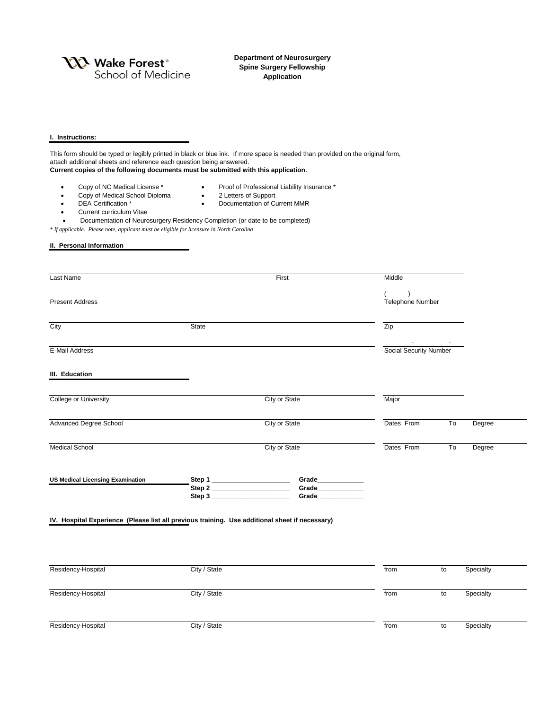**YXX** Wake Forest<sup>®</sup> School of Medicine **Department of Neurosurgery Spine Surgery Fellowship Application**

## **I. Instructions:**

This form should be typed or legibly printed in black or blue ink. If more space is needed than provided on the original form, attach additional sheets and reference each question being answered. **Current copies of the following documents must be submitted with this application**. • Copy of NC Medical License \* • Proof of Professional Liability Insurance \* • Copy of Medical School Diploma • 2 Letters of Support

- DEA Certification \* Documentation of Current MMR
- **•** Current curriculum Vitae
- Documentation of Neurosurgery Residency Completion (or date to be completed)

*\* If applicable. Please note, applicant must be eligible for licensure in North Carolina*

## **II. Personal Information**

| Last Name                                                                                      | First                                 |                                                                             | Middle                                                        |                                      |                  |           |  |
|------------------------------------------------------------------------------------------------|---------------------------------------|-----------------------------------------------------------------------------|---------------------------------------------------------------|--------------------------------------|------------------|-----------|--|
|                                                                                                |                                       |                                                                             |                                                               |                                      |                  |           |  |
| <b>Present Address</b>                                                                         | State                                 |                                                                             |                                                               |                                      | Telephone Number |           |  |
| City                                                                                           |                                       |                                                                             |                                                               | Zip<br><b>Social Security Number</b> |                  |           |  |
| E-Mail Address                                                                                 |                                       |                                                                             |                                                               |                                      |                  |           |  |
| III. Education                                                                                 |                                       |                                                                             |                                                               |                                      |                  |           |  |
| <b>College or University</b>                                                                   |                                       | <b>City or State</b>                                                        |                                                               | Major                                |                  |           |  |
| <b>Advanced Degree School</b>                                                                  | <b>City or State</b><br>City or State |                                                                             |                                                               | Dates From                           | To               | Degree    |  |
| <b>Medical School</b>                                                                          |                                       |                                                                             | Dates From                                                    | To                                   | Degree           |           |  |
| <b>US Medical Licensing Examination</b>                                                        |                                       | Step 1 ______________________<br>Step 2 _________________________<br>Step 3 | Grade_____________<br>Grade____________<br>Grade_____________ |                                      |                  |           |  |
| IV. Hospital Experience (Please list all previous training. Use additional sheet if necessary) |                                       |                                                                             |                                                               |                                      |                  |           |  |
|                                                                                                |                                       |                                                                             |                                                               |                                      |                  |           |  |
| Residency-Hospital                                                                             | City / State                          |                                                                             |                                                               | from                                 | ${\sf to}$       | Specialty |  |
| Residency-Hospital                                                                             | City / State                          |                                                                             |                                                               | from                                 | $\mathsf{to}$    | Specialty |  |
| Residency-Hospital                                                                             | City / State                          |                                                                             |                                                               | from                                 | $\mathsf{to}$    | Specialty |  |